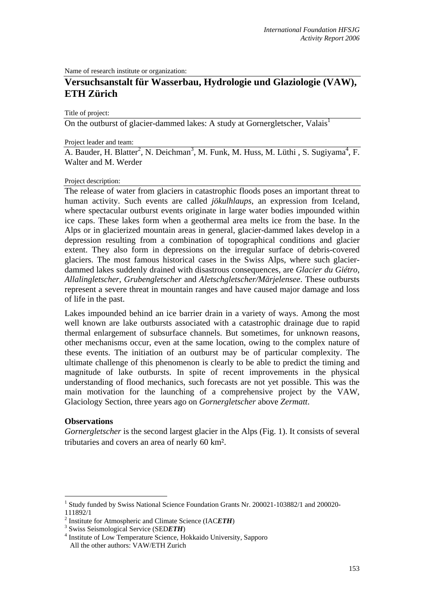Name of research institute or organization:

# **Versuchsanstalt für Wasserbau, Hydrologie und Glaziologie (VAW), ETH Zürich**

Title of project:

On the outburst of glacier-dammed lakes: A study at Gornergletscher, Valais<sup>1</sup>

#### Project leader and team:

A. Bauder, H. Blatter<sup>2</sup>, N. Deichman<sup>3</sup>, M. Funk, M. Huss, M. Lüthi, S. Sugiyama<sup>4</sup>, F. Walter and M. Werder

### Project description:

The release of water from glaciers in catastrophic floods poses an important threat to human activity. Such events are called *jökulhlaups*, an expression from Iceland, where spectacular outburst events originate in large water bodies impounded within ice caps. These lakes form when a geothermal area melts ice from the base. In the Alps or in glacierized mountain areas in general, glacier-dammed lakes develop in a depression resulting from a combination of topographical conditions and glacier extent. They also form in depressions on the irregular surface of debris-covered glaciers. The most famous historical cases in the Swiss Alps, where such glacierdammed lakes suddenly drained with disastrous consequences, are *Glacier du Giétro*, *Allalingletscher*, *Grubengletscher* and *Aletschgletscher/Märjelensee*. These outbursts represent a severe threat in mountain ranges and have caused major damage and loss of life in the past.

Lakes impounded behind an ice barrier drain in a variety of ways. Among the most well known are lake outbursts associated with a catastrophic drainage due to rapid thermal enlargement of subsurface channels. But sometimes, for unknown reasons, other mechanisms occur, even at the same location, owing to the complex nature of these events. The initiation of an outburst may be of particular complexity. The ultimate challenge of this phenomenon is clearly to be able to predict the timing and magnitude of lake outbursts. In spite of recent improvements in the physical understanding of flood mechanics, such forecasts are not yet possible. This was the main motivation for the launching of a comprehensive project by the VAW, Glaciology Section, three years ago on *Gornergletscher* above *Zermatt*.

### **Observations**

1

*Gornergletscher* is the second largest glacier in the Alps (Fig. 1). It consists of several tributaries and covers an area of nearly 60 km².

<sup>&</sup>lt;sup>1</sup> Study funded by Swiss National Science Foundation Grants Nr. 200021-103882/1 and 200020-111892/1

<sup>&</sup>lt;sup>2</sup> Institute for Atmospheric and Climate Science (IAC*ETH*)  $\frac{3 \text{ S} \cdot \text{S} \cdot \text{S} \cdot \text{S} \cdot \text{S} \cdot \text{S} \cdot \text{S} \cdot \text{S} \cdot \text{S} \cdot \text{S} \cdot \text{S} \cdot \text{S} \cdot \text{S} \cdot \text{S} \cdot \text{S} \cdot \text{S} \cdot \text{S} \cdot \text{S} \cdot \text{S} \cdot \text{S} \cdot \text{S} \cdot \text{S} \cdot \$ 

<sup>&</sup>lt;sup>3</sup> Swiss Seismological Service (SEDETH)

<sup>&</sup>lt;sup>4</sup> Institute of Low Temperature Science, Hokkaido University, Sapporo All the other authors: VAW/ETH Zurich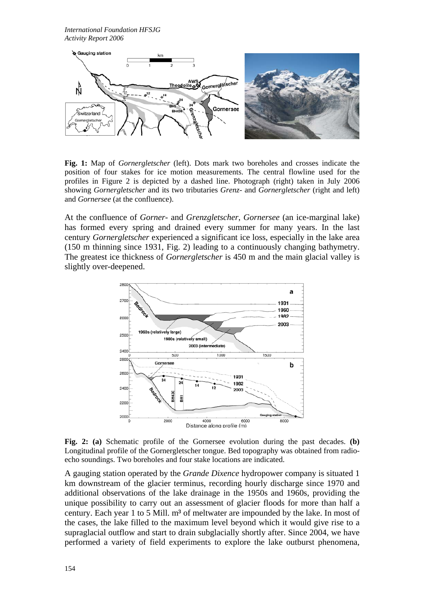

**Fig. 1:** Map of *Gornergletscher* (left). Dots mark two boreholes and crosses indicate the position of four stakes for ice motion measurements. The central flowline used for the profiles in Figure 2 is depicted by a dashed line. Photograph (right) taken in July 2006 showing *Gornergletscher* and its two tributaries *Grenz-* and *Gornergletscher* (right and left) and *Gornersee* (at the confluence).

At the confluence of *Gorner*- and *Grenzgletscher*, *Gornersee* (an ice-marginal lake) has formed every spring and drained every summer for many years. In the last century *Gornergletscher* experienced a significant ice loss, especially in the lake area (150 m thinning since 1931, Fig. 2) leading to a continuously changing bathymetry. The greatest ice thickness of *Gornergletscher* is 450 m and the main glacial valley is slightly over-deepened.



**Fig. 2: (a)** Schematic profile of the Gornersee evolution during the past decades. **(b)** Longitudinal profile of the Gornergletscher tongue. Bed topography was obtained from radioecho soundings. Two boreholes and four stake locations are indicated.

A gauging station operated by the *Grande Dixence* hydropower company is situated 1 km downstream of the glacier terminus, recording hourly discharge since 1970 and additional observations of the lake drainage in the 1950s and 1960s, providing the unique possibility to carry out an assessment of glacier floods for more than half a century. Each year 1 to 5 Mill. m<sup>3</sup> of meltwater are impounded by the lake. In most of the cases, the lake filled to the maximum level beyond which it would give rise to a supraglacial outflow and start to drain subglacially shortly after. Since 2004, we have performed a variety of field experiments to explore the lake outburst phenomena,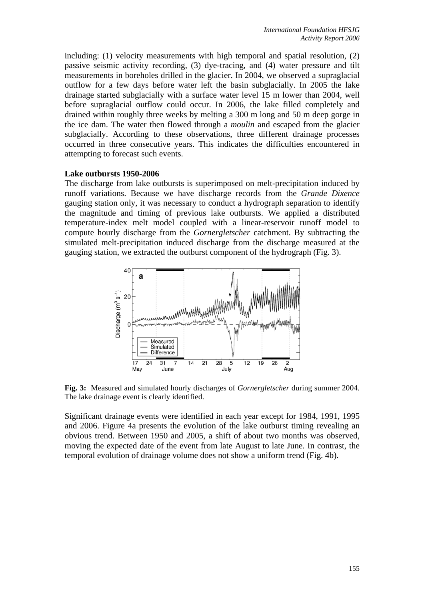including: (1) velocity measurements with high temporal and spatial resolution, (2) passive seismic activity recording, (3) dye-tracing, and (4) water pressure and tilt measurements in boreholes drilled in the glacier. In 2004, we observed a supraglacial outflow for a few days before water left the basin subglacially. In 2005 the lake drainage started subglacially with a surface water level 15 m lower than 2004, well before supraglacial outflow could occur. In 2006, the lake filled completely and drained within roughly three weeks by melting a 300 m long and 50 m deep gorge in the ice dam. The water then flowed through a *moulin* and escaped from the glacier subglacially. According to these observations, three different drainage processes occurred in three consecutive years. This indicates the difficulties encountered in attempting to forecast such events.

## **Lake outbursts 1950-2006**

The discharge from lake outbursts is superimposed on melt-precipitation induced by runoff variations. Because we have discharge records from the *Grande Dixence* gauging station only, it was necessary to conduct a hydrograph separation to identify the magnitude and timing of previous lake outbursts. We applied a distributed temperature-index melt model coupled with a linear-reservoir runoff model to compute hourly discharge from the *Gornergletscher* catchment. By subtracting the simulated melt-precipitation induced discharge from the discharge measured at the gauging station, we extracted the outburst component of the hydrograph (Fig. 3).



**Fig. 3:** Measured and simulated hourly discharges of *Gornergletscher* during summer 2004. The lake drainage event is clearly identified.

Significant drainage events were identified in each year except for 1984, 1991, 1995 and 2006. Figure 4a presents the evolution of the lake outburst timing revealing an obvious trend. Between 1950 and 2005, a shift of about two months was observed, moving the expected date of the event from late August to late June. In contrast, the temporal evolution of drainage volume does not show a uniform trend (Fig. 4b).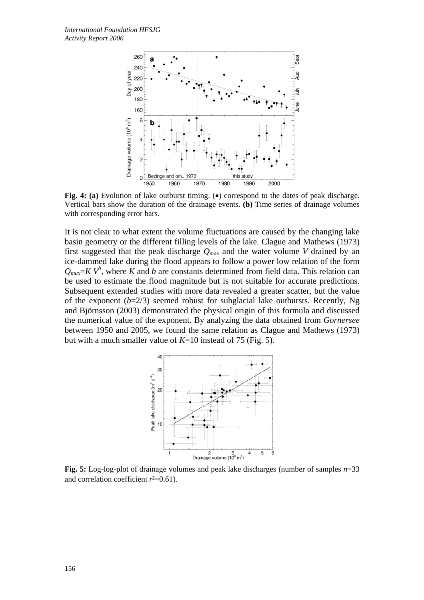

**Fig. 4: (a)** Evolution of lake outburst timing. (•) correspond to the dates of peak discharge. Vertical bars show the duration of the drainage events. **(b)** Time series of drainage volumes with corresponding error bars.

It is not clear to what extent the volume fluctuations are caused by the changing lake basin geometry or the different filling levels of the lake. Clague and Mathews (1973) first suggested that the peak discharge  $Q_{max}$  and the water volume *V* drained by an ice-dammed lake during the flood appears to follow a power low relation of the form  $Q_{max} = K V^b$ , where *K* and *b* are constants determined from field data. This relation can be used to estimate the flood magnitude but is not suitable for accurate predictions. Subsequent extended studies with more data revealed a greater scatter, but the value of the exponent  $(b=2/3)$  seemed robust for subglacial lake outbursts. Recently, Ng and Björnsson (2003) demonstrated the physical origin of this formula and discussed the numerical value of the exponent. By analyzing the data obtained from *Gornersee* between 1950 and 2005, we found the same relation as Clague and Mathews (1973) but with a much smaller value of *K*=10 instead of 75 (Fig. 5).



**Fig. 5:** Log-log-plot of drainage volumes and peak lake discharges (number of samples *n*=33 and correlation coefficient  $r^2=0.61$ ).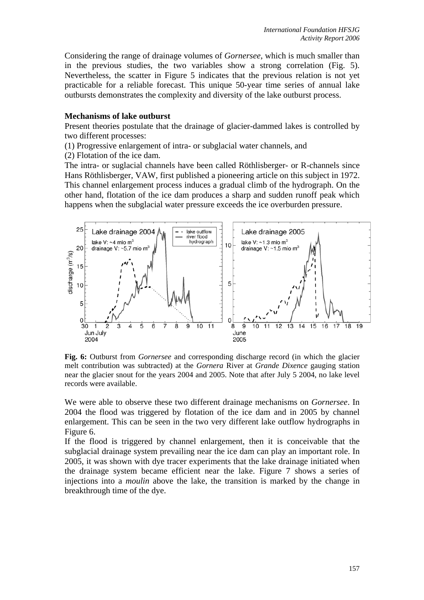Considering the range of drainage volumes of *Gornersee*, which is much smaller than in the previous studies, the two variables show a strong correlation (Fig. 5). Nevertheless, the scatter in Figure 5 indicates that the previous relation is not yet practicable for a reliable forecast. This unique 50-year time series of annual lake outbursts demonstrates the complexity and diversity of the lake outburst process.

## **Mechanisms of lake outburst**

Present theories postulate that the drainage of glacier-dammed lakes is controlled by two different processes:

(1) Progressive enlargement of intra- or subglacial water channels, and

(2) Flotation of the ice dam.

The intra- or suglacial channels have been called Röthlisberger- or R-channels since Hans Röthlisberger, VAW, first published a pioneering article on this subject in 1972. This channel enlargement process induces a gradual climb of the hydrograph. On the other hand, flotation of the ice dam produces a sharp and sudden runoff peak which happens when the subglacial water pressure exceeds the ice overburden pressure.



**Fig. 6:** Outburst from *Gornersee* and corresponding discharge record (in which the glacier melt contribution was subtracted) at the *Gornera* River at *Grande Dixence* gauging station near the glacier snout for the years 2004 and 2005. Note that after July 5 2004, no lake level records were available.

We were able to observe these two different drainage mechanisms on *Gornersee*. In 2004 the flood was triggered by flotation of the ice dam and in 2005 by channel enlargement. This can be seen in the two very different lake outflow hydrographs in Figure 6.

If the flood is triggered by channel enlargement, then it is conceivable that the subglacial drainage system prevailing near the ice dam can play an important role. In 2005, it was shown with dye tracer experiments that the lake drainage initiated when the drainage system became efficient near the lake. Figure 7 shows a series of injections into a *moulin* above the lake, the transition is marked by the change in breakthrough time of the dye.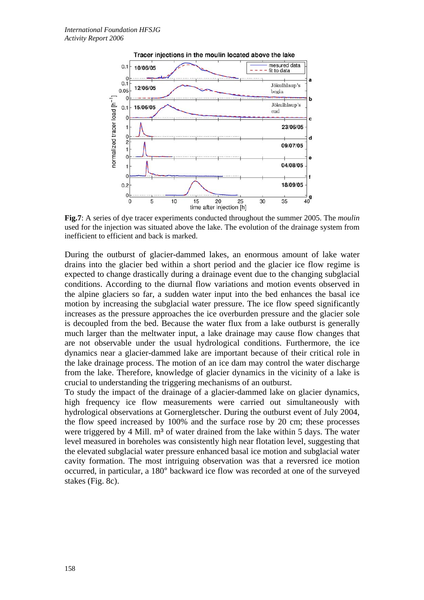

**Fig.7**: A series of dye tracer experiments conducted throughout the summer 2005. The *moulin* used for the injection was situated above the lake. The evolution of the drainage system from inefficient to efficient and back is marked.

During the outburst of glacier-dammed lakes, an enormous amount of lake water drains into the glacier bed within a short period and the glacier ice flow regime is expected to change drastically during a drainage event due to the changing subglacial conditions. According to the diurnal flow variations and motion events observed in the alpine glaciers so far, a sudden water input into the bed enhances the basal ice motion by increasing the subglacial water pressure. The ice flow speed significantly increases as the pressure approaches the ice overburden pressure and the glacier sole is decoupled from the bed. Because the water flux from a lake outburst is generally much larger than the meltwater input, a lake drainage may cause flow changes that are not observable under the usual hydrological conditions. Furthermore, the ice dynamics near a glacier-dammed lake are important because of their critical role in the lake drainage process. The motion of an ice dam may control the water discharge from the lake. Therefore, knowledge of glacier dynamics in the vicinity of a lake is crucial to understanding the triggering mechanisms of an outburst.

To study the impact of the drainage of a glacier-dammed lake on glacier dynamics, high frequency ice flow measurements were carried out simultaneously with hydrological observations at Gornergletscher. During the outburst event of July 2004, the flow speed increased by 100% and the surface rose by 20 cm; these processes were triggered by 4 Mill. m<sup>3</sup> of water drained from the lake within 5 days. The water level measured in boreholes was consistently high near flotation level, suggesting that the elevated subglacial water pressure enhanced basal ice motion and subglacial water cavity formation. The most intriguing observation was that a reversred ice motion occurred, in particular, a 180° backward ice flow was recorded at one of the surveyed stakes (Fig. 8c).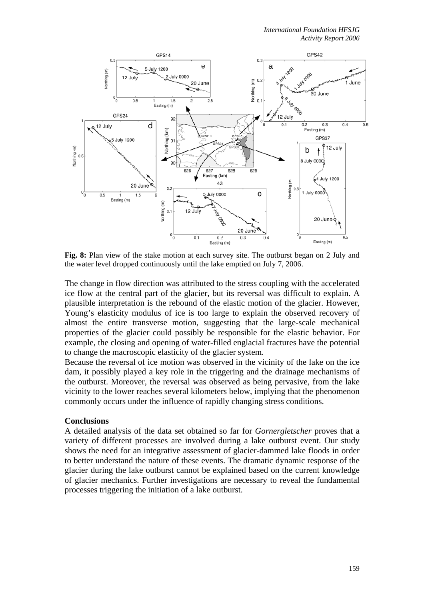

**Fig. 8:** Plan view of the stake motion at each survey site. The outburst began on 2 July and the water level dropped continuously until the lake emptied on July 7, 2006.

The change in flow direction was attributed to the stress coupling with the accelerated ice flow at the central part of the glacier, but its reversal was difficult to explain. A plausible interpretation is the rebound of the elastic motion of the glacier. However, Young's elasticity modulus of ice is too large to explain the observed recovery of almost the entire transverse motion, suggesting that the large-scale mechanical properties of the glacier could possibly be responsible for the elastic behavior. For example, the closing and opening of water-filled englacial fractures have the potential to change the macroscopic elasticity of the glacier system.

Because the reversal of ice motion was observed in the vicinity of the lake on the ice dam, it possibly played a key role in the triggering and the drainage mechanisms of the outburst. Moreover, the reversal was observed as being pervasive, from the lake vicinity to the lower reaches several kilometers below, implying that the phenomenon commonly occurs under the influence of rapidly changing stress conditions.

### **Conclusions**

A detailed analysis of the data set obtained so far for *Gornergletscher* proves that a variety of different processes are involved during a lake outburst event. Our study shows the need for an integrative assessment of glacier-dammed lake floods in order to better understand the nature of these events. The dramatic dynamic response of the glacier during the lake outburst cannot be explained based on the current knowledge of glacier mechanics. Further investigations are necessary to reveal the fundamental processes triggering the initiation of a lake outburst.